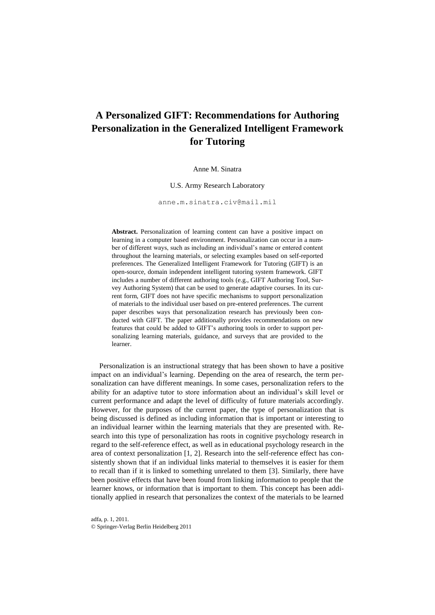# **A Personalized GIFT: Recommendations for Authoring Personalization in the Generalized Intelligent Framework for Tutoring**

Anne M. Sinatra

U.S. Army Research Laboratory

[anne.m.sinatra.civ@mail.mil](mailto:anne.m.sinatra.civ@mail.mil)

**Abstract.** Personalization of learning content can have a positive impact on learning in a computer based environment. Personalization can occur in a number of different ways, such as including an individual's name or entered content throughout the learning materials, or selecting examples based on self-reported preferences. The Generalized Intelligent Framework for Tutoring (GIFT) is an open-source, domain independent intelligent tutoring system framework. GIFT includes a number of different authoring tools (e.g., GIFT Authoring Tool, Survey Authoring System) that can be used to generate adaptive courses. In its current form, GIFT does not have specific mechanisms to support personalization of materials to the individual user based on pre-entered preferences. The current paper describes ways that personalization research has previously been conducted with GIFT. The paper additionally provides recommendations on new features that could be added to GIFT's authoring tools in order to support personalizing learning materials, guidance, and surveys that are provided to the learner.

Personalization is an instructional strategy that has been shown to have a positive impact on an individual's learning. Depending on the area of research, the term personalization can have different meanings. In some cases, personalization refers to the ability for an adaptive tutor to store information about an individual's skill level or current performance and adapt the level of difficulty of future materials accordingly. However, for the purposes of the current paper, the type of personalization that is being discussed is defined as including information that is important or interesting to an individual learner within the learning materials that they are presented with. Research into this type of personalization has roots in cognitive psychology research in regard to the self-reference effect, as well as in educational psychology research in the area of context personalization [1, 2]. Research into the self-reference effect has consistently shown that if an individual links material to themselves it is easier for them to recall than if it is linked to something unrelated to them [3]. Similarly, there have been positive effects that have been found from linking information to people that the learner knows, or information that is important to them. This concept has been additionally applied in research that personalizes the context of the materials to be learned

adfa, p. 1, 2011. © Springer-Verlag Berlin Heidelberg 2011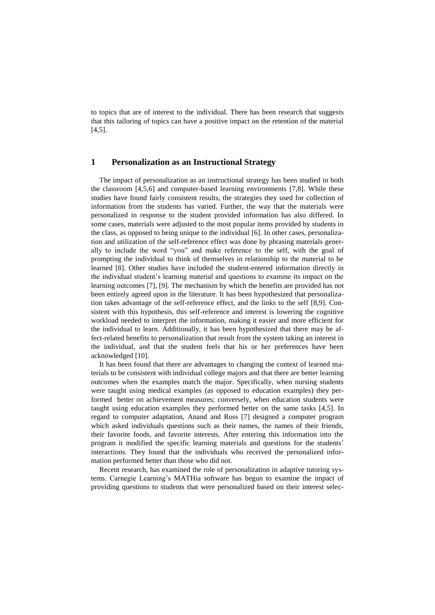to topics that are of interest to the individual. There has been research that suggests that this tailoring of topics can have a positive impact on the retention of the material  $[4,5]$ .

#### **1 Personalization as an Instructional Strategy**

The impact of personalization as an instructional strategy has been studied in both the classroom [4,5,6] and computer-based learning environments [7,8]. While these studies have found fairly consistent results, the strategies they used for collection of information from the students has varied. Further, the way that the materials were personalized in response to the student provided information has also differed. In some cases, materials were adjusted to the most popular items provided by students in the class, as opposed to being unique to the individual [6]. In other cases, personalization and utilization of the self-reference effect was done by phrasing materials generally to include the word "you" and make reference to the self, with the goal of prompting the individual to think of themselves in relationship to the material to be learned [8]. Other studies have included the student-entered information directly in the individual student's learning material and questions to examine its impact on the learning outcomes [7], [9]. The mechanism by which the benefits are provided has not been entirely agreed upon in the literature. It has been hypothesized that personalization takes advantage of the self-reference effect, and the links to the self [8,9]. Consistent with this hypothesis, this self-reference and interest is lowering the cognitive workload needed to interpret the information, making it easier and more efficient for the individual to learn. Additionally, it has been hypothesized that there may be affect-related benefits to personalization that result from the system taking an interest in the individual, and that the student feels that his or her preferences have been acknowledged [10].

It has been found that there are advantages to changing the context of learned materials to be consistent with individual college majors and that there are better learning outcomes when the examples match the major. Specifically, when nursing students were taught using medical examples (as opposed to education examples) they performed better on achievement measures; conversely, when education students were taught using education examples they performed better on the same tasks [4,5]. In regard to computer adaptation, Anand and Ross [7] designed a computer program which asked individuals questions such as their names, the names of their friends, their favorite foods, and favorite interests. After entering this information into the program it modified the specific learning materials and questions for the students' interactions. They found that the individuals who received the personalized information performed better than those who did not.

Recent research, has examined the role of personalization in adaptive tutoring systems. Carnegie Learning's MATHia software has begun to examine the impact of providing questions to students that were personalized based on their interest selec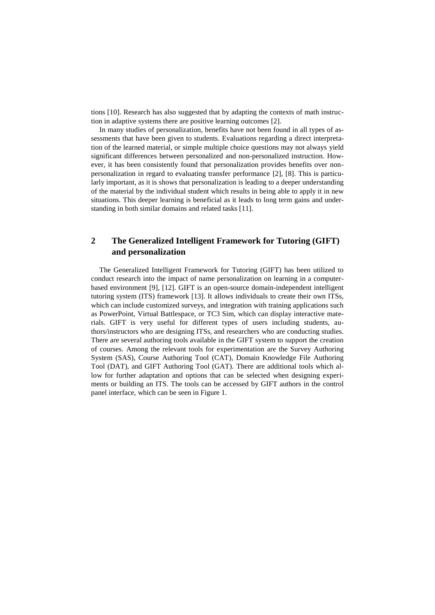tions [10]. Research has also suggested that by adapting the contexts of math instruction in adaptive systems there are positive learning outcomes [2].

In many studies of personalization, benefits have not been found in all types of assessments that have been given to students. Evaluations regarding a direct interpretation of the learned material, or simple multiple choice questions may not always yield significant differences between personalized and non-personalized instruction. However, it has been consistently found that personalization provides benefits over nonpersonalization in regard to evaluating transfer performance [2], [8]. This is particularly important, as it is shows that personalization is leading to a deeper understanding of the material by the individual student which results in being able to apply it in new situations. This deeper learning is beneficial as it leads to long term gains and understanding in both similar domains and related tasks [11].

## **2 The Generalized Intelligent Framework for Tutoring (GIFT) and personalization**

The Generalized Intelligent Framework for Tutoring (GIFT) has been utilized to conduct research into the impact of name personalization on learning in a computerbased environment [9], [12]. GIFT is an open-source domain-independent intelligent tutoring system (ITS) framework [13]. It allows individuals to create their own ITSs, which can include customized surveys, and integration with training applications such as PowerPoint, Virtual Battlespace, or TC3 Sim, which can display interactive materials. GIFT is very useful for different types of users including students, authors/instructors who are designing ITSs, and researchers who are conducting studies. There are several authoring tools available in the GIFT system to support the creation of courses. Among the relevant tools for experimentation are the Survey Authoring System (SAS), Course Authoring Tool (CAT), Domain Knowledge File Authoring Tool (DAT), and GIFT Authoring Tool (GAT). There are additional tools which allow for further adaptation and options that can be selected when designing experiments or building an ITS. The tools can be accessed by GIFT authors in the control panel interface, which can be seen in Figure 1.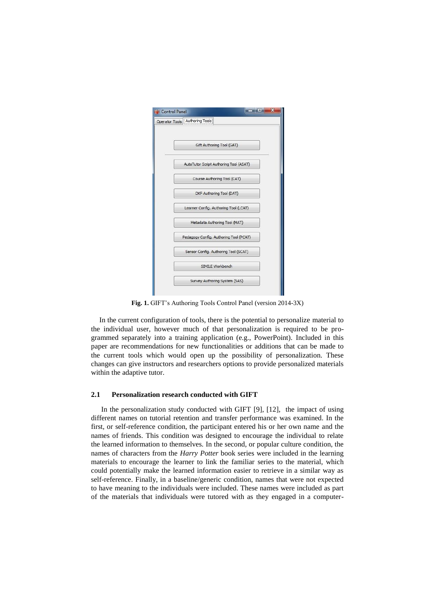

**Fig. 1.** GIFT's Authoring Tools Control Panel (version 2014-3X)

In the current configuration of tools, there is the potential to personalize material to the individual user, however much of that personalization is required to be programmed separately into a training application (e.g., PowerPoint). Included in this paper are recommendations for new functionalities or additions that can be made to the current tools which would open up the possibility of personalization. These changes can give instructors and researchers options to provide personalized materials within the adaptive tutor.

#### **2.1 Personalization research conducted with GIFT**

In the personalization study conducted with GIFT [9], [12], the impact of using different names on tutorial retention and transfer performance was examined. In the first, or self-reference condition, the participant entered his or her own name and the names of friends. This condition was designed to encourage the individual to relate the learned information to themselves. In the second, or popular culture condition, the names of characters from the *Harry Potter* book series were included in the learning materials to encourage the learner to link the familiar series to the material, which could potentially make the learned information easier to retrieve in a similar way as self-reference. Finally, in a baseline/generic condition, names that were not expected to have meaning to the individuals were included. These names were included as part of the materials that individuals were tutored with as they engaged in a computer-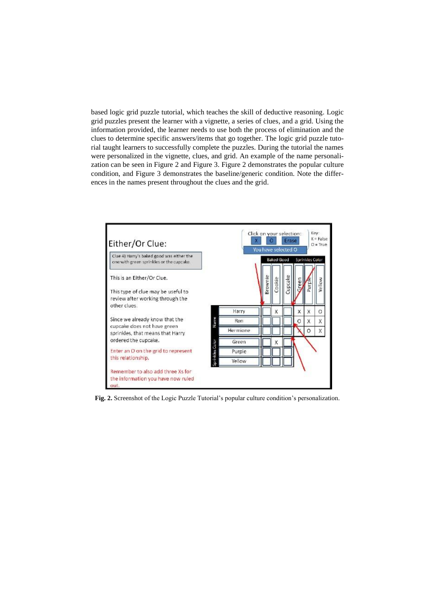based logic grid puzzle tutorial, which teaches the skill of deductive reasoning. Logic grid puzzles present the learner with a vignette, a series of clues, and a grid. Using the information provided, the learner needs to use both the process of elimination and the clues to determine specific answers/items that go together. The logic grid puzzle tutorial taught learners to successfully complete the puzzles. During the tutorial the names were personalized in the vignette, clues, and grid. An example of the name personalization can be seen in Figure 2 and Figure 3. Figure 2 demonstrates the popular culture condition, and Figure 3 demonstrates the baseline/generic condition. Note the differences in the names present throughout the clues and the grid.



**Fig. 2.** Screenshot of the Logic Puzzle Tutorial's popular culture condition's personalization.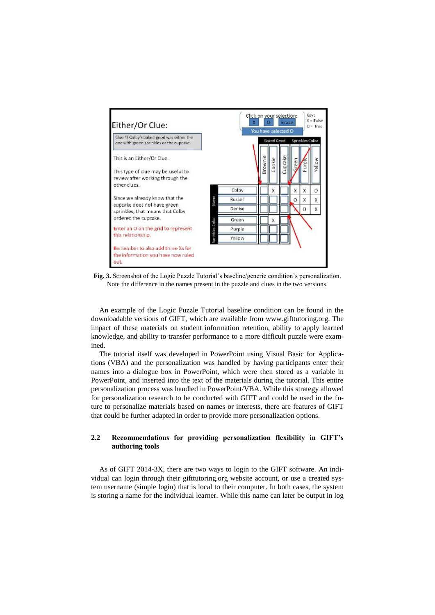

**Fig. 3.** Screenshot of the Logic Puzzle Tutorial's baseline/generic condition's personalization. Note the difference in the names present in the puzzle and clues in the two versions.

An example of the Logic Puzzle Tutorial baseline condition can be found in the downloadable versions of GIFT, which are available from www.gifttutoring.org. The impact of these materials on student information retention, ability to apply learned knowledge, and ability to transfer performance to a more difficult puzzle were examined.

The tutorial itself was developed in PowerPoint using Visual Basic for Applications (VBA) and the personalization was handled by having participants enter their names into a dialogue box in PowerPoint, which were then stored as a variable in PowerPoint, and inserted into the text of the materials during the tutorial. This entire personalization process was handled in PowerPoint/VBA. While this strategy allowed for personalization research to be conducted with GIFT and could be used in the future to personalize materials based on names or interests, there are features of GIFT that could be further adapted in order to provide more personalization options.

#### **2.2 Recommendations for providing personalization flexibility in GIFT's authoring tools**

As of GIFT 2014-3X, there are two ways to login to the GIFT software. An individual can login through their gifttutoring.org website account, or use a created system username (simple login) that is local to their computer. In both cases, the system is storing a name for the individual learner. While this name can later be output in log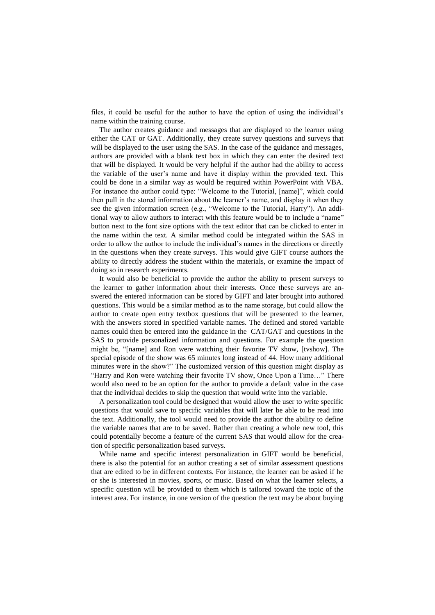files, it could be useful for the author to have the option of using the individual's name within the training course.

The author creates guidance and messages that are displayed to the learner using either the CAT or GAT. Additionally, they create survey questions and surveys that will be displayed to the user using the SAS. In the case of the guidance and messages, authors are provided with a blank text box in which they can enter the desired text that will be displayed. It would be very helpful if the author had the ability to access the variable of the user's name and have it display within the provided text. This could be done in a similar way as would be required within PowerPoint with VBA. For instance the author could type: "Welcome to the Tutorial, [name]", which could then pull in the stored information about the learner's name, and display it when they see the given information screen (e.g., "Welcome to the Tutorial, Harry"). An additional way to allow authors to interact with this feature would be to include a "name" button next to the font size options with the text editor that can be clicked to enter in the name within the text. A similar method could be integrated within the SAS in order to allow the author to include the individual's names in the directions or directly in the questions when they create surveys. This would give GIFT course authors the ability to directly address the student within the materials, or examine the impact of doing so in research experiments.

It would also be beneficial to provide the author the ability to present surveys to the learner to gather information about their interests. Once these surveys are answered the entered information can be stored by GIFT and later brought into authored questions. This would be a similar method as to the name storage, but could allow the author to create open entry textbox questions that will be presented to the learner, with the answers stored in specified variable names. The defined and stored variable names could then be entered into the guidance in the CAT/GAT and questions in the SAS to provide personalized information and questions. For example the question might be, "[name] and Ron were watching their favorite TV show, [tvshow]. The special episode of the show was 65 minutes long instead of 44. How many additional minutes were in the show?" The customized version of this question might display as "Harry and Ron were watching their favorite TV show, Once Upon a Time…" There would also need to be an option for the author to provide a default value in the case that the individual decides to skip the question that would write into the variable.

A personalization tool could be designed that would allow the user to write specific questions that would save to specific variables that will later be able to be read into the text. Additionally, the tool would need to provide the author the ability to define the variable names that are to be saved. Rather than creating a whole new tool, this could potentially become a feature of the current SAS that would allow for the creation of specific personalization based surveys.

While name and specific interest personalization in GIFT would be beneficial, there is also the potential for an author creating a set of similar assessment questions that are edited to be in different contexts. For instance, the learner can be asked if he or she is interested in movies, sports, or music. Based on what the learner selects, a specific question will be provided to them which is tailored toward the topic of the interest area. For instance, in one version of the question the text may be about buying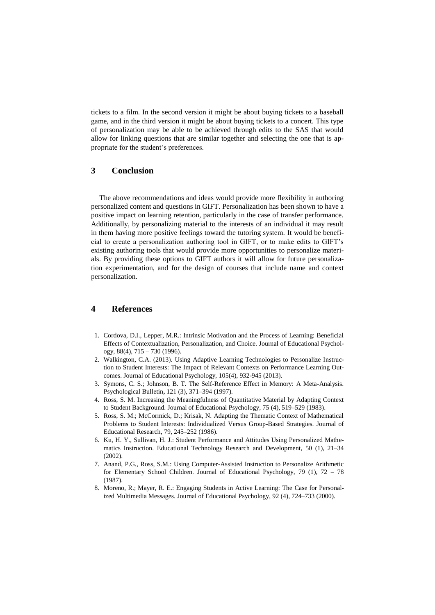tickets to a film. In the second version it might be about buying tickets to a baseball game, and in the third version it might be about buying tickets to a concert. This type of personalization may be able to be achieved through edits to the SAS that would allow for linking questions that are similar together and selecting the one that is appropriate for the student's preferences.

#### **3 Conclusion**

The above recommendations and ideas would provide more flexibility in authoring personalized content and questions in GIFT. Personalization has been shown to have a positive impact on learning retention, particularly in the case of transfer performance. Additionally, by personalizing material to the interests of an individual it may result in them having more positive feelings toward the tutoring system. It would be beneficial to create a personalization authoring tool in GIFT, or to make edits to GIFT's existing authoring tools that would provide more opportunities to personalize materials. By providing these options to GIFT authors it will allow for future personalization experimentation, and for the design of courses that include name and context personalization.

### **4 References**

- 1. Cordova, D.I., Lepper, M.R.: Intrinsic Motivation and the Process of Learning: Beneficial Effects of Contextualization, Personalization, and Choice. Journal of Educational Psychology, 88(4), 715 – 730 (1996).
- 2. Walkington, C.A. (2013). Using Adaptive Learning Technologies to Personalize Instruction to Student Interests: The Impact of Relevant Contexts on Performance Learning Outcomes. Journal of Educational Psychology, 105(4), 932-945 (2013).
- 3. Symons, C. S.; Johnson, B. T. The Self-Reference Effect in Memory: A Meta-Analysis. Psychological Bulletin**,** 121 (3), 371–394 (1997).
- 4. Ross, S. M. Increasing the Meaningfulness of Quantitative Material by Adapting Context to Student Background. Journal of Educational Psychology*,* 75 (4), 519–529 (1983).
- 5. Ross, S. M.; McCormick, D.; Krisak, N. Adapting the Thematic Context of Mathematical Problems to Student Interests: Individualized Versus Group-Based Strategies. Journal of Educational Research, 79, 245–252 (1986).
- 6. Ku, H. Y., Sullivan, H. J.: Student Performance and Attitudes Using Personalized Mathematics Instruction. Educational Technology Research and Development, 50 (1), 21–34 (2002).
- 7. Anand, P.G., Ross, S.M.: Using Computer-Assisted Instruction to Personalize Arithmetic for Elementary School Children. Journal of Educational Psychology, 79 (1), 72 – 78 (1987).
- 8. Moreno, R.; Mayer, R. E.: Engaging Students in Active Learning: The Case for Personalized Multimedia Messages. Journal of Educational Psychology, 92 (4), 724–733 (2000).